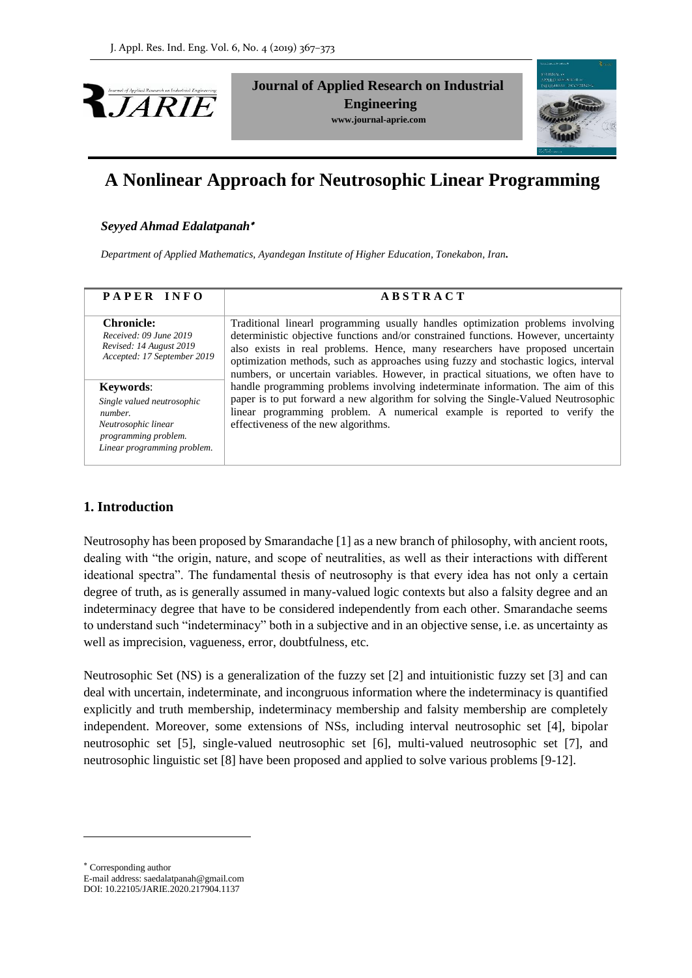



# **A Nonlinear Approach for Neutrosophic Linear Programming**

# *Seyyed Ahmad Edalatpanah*

*Department of Applied Mathematics, Ayandegan Institute of Higher Education, Tonekabon, Iran.*

| PAPER INFO                                                                                                                              | <b>ABSTRACT</b>                                                                                                                                                                                                                                                                                                                                                                                                                         |
|-----------------------------------------------------------------------------------------------------------------------------------------|-----------------------------------------------------------------------------------------------------------------------------------------------------------------------------------------------------------------------------------------------------------------------------------------------------------------------------------------------------------------------------------------------------------------------------------------|
| <b>Chronicle:</b><br>Received: 09 June 2019<br>Revised: 14 August 2019<br>Accepted: 17 September 2019                                   | Traditional linearl programming usually handles optimization problems involving<br>deterministic objective functions and/or constrained functions. However, uncertainty<br>also exists in real problems. Hence, many researchers have proposed uncertain<br>optimization methods, such as approaches using fuzzy and stochastic logics, interval<br>numbers, or uncertain variables. However, in practical situations, we often have to |
| <b>Keywords:</b><br>Single valued neutrosophic<br>number.<br>Neutrosophic linear<br>programming problem.<br>Linear programming problem. | handle programming problems involving indeterminate information. The aim of this<br>paper is to put forward a new algorithm for solving the Single-Valued Neutrosophic<br>linear programming problem. A numerical example is reported to verify the<br>effectiveness of the new algorithms.                                                                                                                                             |

# **1. Introduction**

Neutrosophy has been proposed by Smarandache [1] as a new branch of philosophy, with ancient roots, dealing with "the origin, nature, and scope of neutralities, as well as their interactions with different ideational spectra". The fundamental thesis of neutrosophy is that every idea has not only a certain degree of truth, as is generally assumed in many-valued logic contexts but also a falsity degree and an indeterminacy degree that have to be considered independently from each other. Smarandache seems to understand such "indeterminacy" both in a subjective and in an objective sense, i.e. as uncertainty as well as imprecision, vagueness, error, doubtfulness, etc.

Neutrosophic Set (NS) is a generalization of the fuzzy set [2] and intuitionistic fuzzy set [3] and can deal with uncertain, indeterminate, and incongruous information where the indeterminacy is quantified explicitly and truth membership, indeterminacy membership and falsity membership are completely independent. Moreover, some extensions of NSs, including interval neutrosophic set [4], bipolar neutrosophic set [5], single-valued neutrosophic set [6], multi-valued neutrosophic set [7], and neutrosophic linguistic set [8] have been proposed and applied to solve various problems [9-12].

1

Corresponding author E-mail address: saedalatpanah@gmail.com DOI: 10.22105/JARIE.2020.217904.1137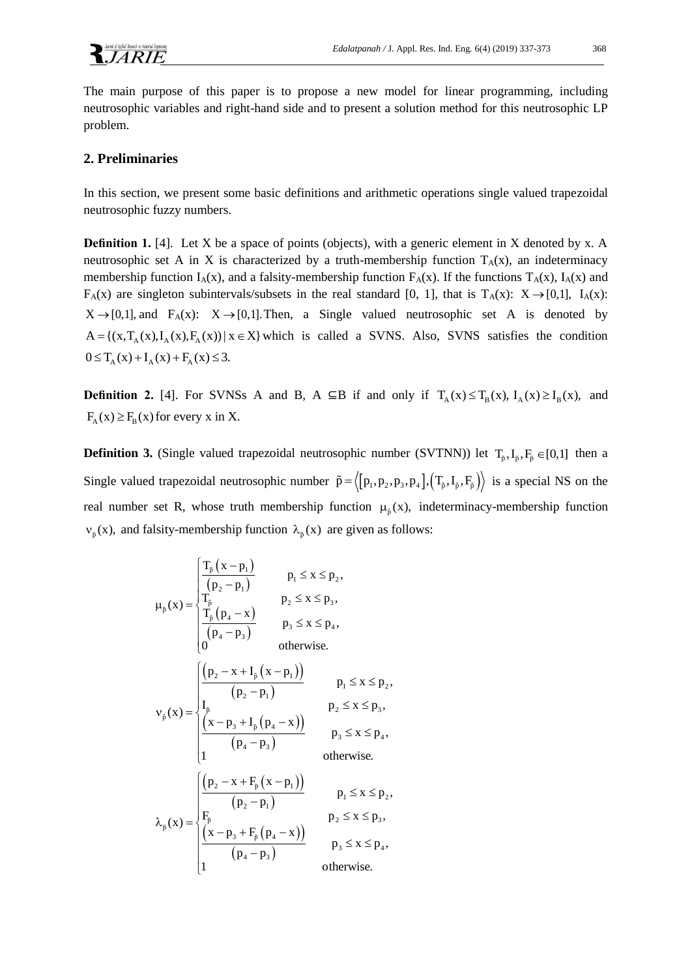

The main purpose of this paper is to propose a new model for linear programming, including neutrosophic variables and right-hand side and to present a solution method for this neutrosophic LP problem.

#### **2. Preliminaries**

In this section, we present some basic definitions and arithmetic operations single valued trapezoidal neutrosophic fuzzy numbers.

**Definition 1.** [4]. Let X be a space of points (objects), with a generic element in X denoted by x. A neutrosophic set A in X is characterized by a truth-membership function  $T_A(x)$ , an indeterminacy membership function  $I_A(x)$ , and a falsity-membership function  $F_A(x)$ . If the functions  $T_A(x)$ ,  $I_A(x)$  and  $F_A(x)$  are singleton subintervals/subsets in the real standard [0, 1], that is  $T_A(x)$ :  $X \rightarrow [0,1]$ ,  $I_A(x)$ :  $X \rightarrow [0,1]$ , and  $F_A(x)$ :  $X \rightarrow [0,1]$ . Then, a Single valued neutrosophic set A is denoted by  $A = \{(x, T_A(x), I_A(x), F_A(x)) | x \in X\}$  which is called a SVNS. Also, SVNS satisfies the condition  $0 \le T_{A} (x) + I_{A} (x) + F_{A} (x) \le 3.$ 

**Definition 2.** [4]. For SVNSs A and B, A  $\subseteq$ B if and only if  $T_A(x) \le T_B(x)$ ,  $I_A(x) \ge I_B(x)$ , and  $F_A(x) \ge F_B(x)$  for every x in X.

**Definition 3.** (Single valued trapezoidal neutrosophic number (SVTNN)) let  $T_{\tilde{p}}, I_{\tilde{p}}, F_{\tilde{p}} \in [0,1]$  then a Single valued trapezoidal neutrosophic number  $\tilde{p} = \langle [p_1, p_2, p_3, p_4], (T_{\tilde{p}}, I_{\tilde{p}}, F_{\tilde{p}}) \rangle$  is a special NS on the real number set R, whose truth membership function  $\mu_{\tilde{p}}(x)$ , indeterminacy-membership function  $v_{\tilde{p}}(x)$ , and falsity-membership function  $\lambda_{\tilde{p}}(x)$  are given as follows:

$$
\mu_{\tilde{p}}(x) = \begin{cases}\n\frac{T_{\tilde{p}}(x - p_{1})}{(p_{2} - p_{1})} & p_{1} \leq x \leq p_{2}, \\
\frac{T_{\tilde{p}}(p_{4} - x)}{(p_{4} - p_{3})} & p_{3} \leq x \leq p_{4}, \\
0 & \text{otherwise.} \n\end{cases}
$$
\n
$$
v_{\tilde{p}}(x) = \begin{cases}\n\frac{(p_{2} - x + I_{\tilde{p}}(x - p_{1}))}{(p_{2} - p_{1})} & p_{1} \leq x \leq p_{2}, \\
\frac{(x - p_{3} + I_{\tilde{p}}(p_{4} - x))}{(p_{4} - p_{3})} & p_{2} \leq x \leq p_{3}, \\
1 & \text{otherwise.} \n\end{cases}
$$
\n
$$
\lambda_{\tilde{p}}(x) = \begin{cases}\n\frac{(p_{2} - x + F_{\tilde{p}}(x - p_{1}))}{(p_{2} - p_{1})} & p_{1} \leq x \leq p_{2}, \\
\frac{(p_{2} - x + F_{\tilde{p}}(x - p_{1}))}{(p_{2} - p_{1})} & p_{1} \leq x \leq p_{2}, \\
\frac{(x - p_{3} + F_{\tilde{p}}(p_{4} - x))}{(p_{4} - p_{3})} & p_{2} \leq x \leq p_{3}, \\
1 & \text{otherwise.}\n\end{cases}
$$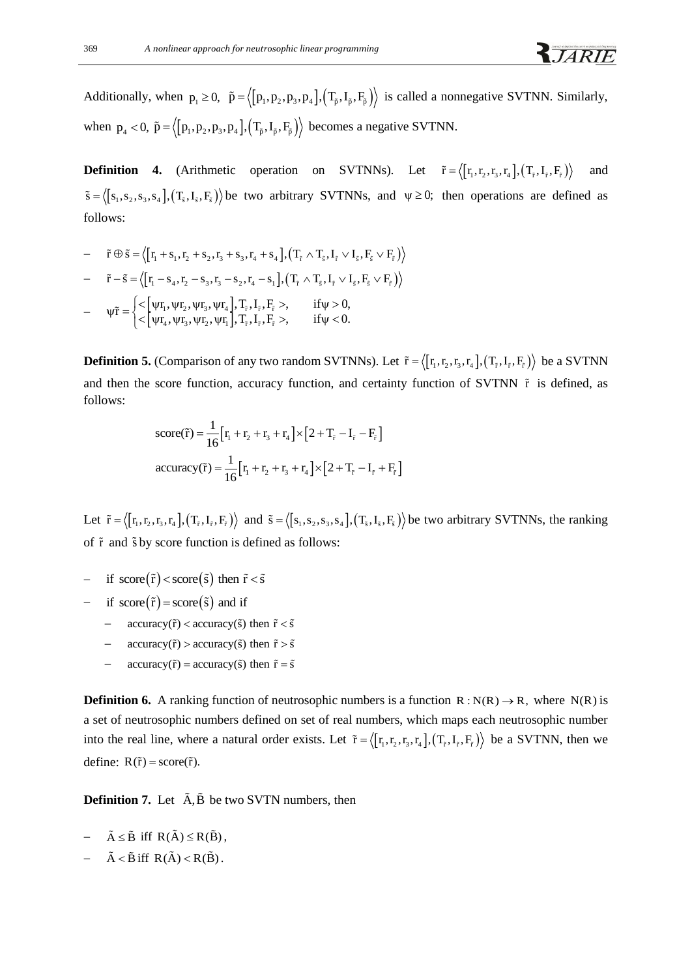Additionally, when  $p_1 \ge 0$ ,  $\tilde{p} = \langle [p_1, p_2, p_3, p_4], (T_{\tilde{p}}, I_{\tilde{p}}, F_{\tilde{p}}) \rangle$  is called a nonnegative SVTNN. Similarly, when  $p_4 < 0$ ,  $\tilde{p} = \langle [p_1, p_2, p_3, p_4], (T_{\tilde{p}}, I_{\tilde{p}}, F_{\tilde{p}}] \rangle$  becomes a negative SVTNN.

**Definition 4.** (Arithmetic operation on SVTNNs). Let  $\tilde{r} = \langle [r_1, r_2, r_3, r_4], (T_{\tilde{r}}, I_{\tilde{r}}, F_{\tilde{r}}] \rangle$ and  $\tilde{s} = \langle [s_1, s_2, s_3, s_4], (T_{\tilde{s}}, I_{\tilde{s}}, F_{\tilde{s}}] \rangle$  be two arbitrary SVTNNs, and  $\psi \ge 0$ ; then operations are defined as follows:

- $\tilde{r} \oplus \tilde{s} = \langle [r_1 + s_1, r_2 + s_2, r_3 + s_3, r_4 + s_4], (T_{\tilde{r}} \wedge T_{\tilde{s}}, I_{\tilde{r}} \vee I_{\tilde{s}}, F_{\tilde{s}} \vee F_{\tilde{r}}) \rangle$  $- \tilde{r} - \tilde{s} = \langle [r_1 - s_4, r_2 - s_3, r_3 - s_2, r_4 - s_1], (T_{\tilde{r}} \wedge T_{\tilde{s}}, I_{\tilde{r}} \vee I_{\tilde{s}}, F_{\tilde{s}} \vee F_{\tilde{r}}) \rangle$
- $-\Psi \tilde{r} = \begin{cases} \langle \Psi r_1, \Psi r_2, \Psi r_3, \Psi r_4 \rangle \\ \text{fmmumumum} \end{cases}$  $|\psi_{\text{I}_4}, \psi_{\text{I}_3}, \psi_{\text{I}_2}, \psi_{\text{I}_1}|$  $T_1$ ,  $\psi$ r<sub>2</sub>,  $\psi$ r<sub>3</sub>,  $\psi$ r<sub>4</sub>**]**,  $\frac{T}{T_1}$ ,  $\frac{I}{T_2}$ ,  $\frac{F_1}{T_1}$  $T_4$ ,  $\psi$ r<sub>3</sub>,  $\psi$ r<sub>2</sub>,  $\psi$ r<sub>1</sub>,  $T_{\tilde{r}}$ ,  $I_{\tilde{r}}$ ,  $F_{\tilde{r}}$  $\tilde{r} = \begin{cases} \begin{cases} \begin{bmatrix} r_1 - s_4, r_2 - s_3, r_3 - s_2, r_4 - s_1 \end{bmatrix}, \begin{cases} r_{\tilde{r}} \wedge r_{\tilde{s}}, r_{\tilde{r}} \vee r_{\tilde{s}} \end{cases} \\ \begin{cases} \begin{cases} \begin{bmatrix} \sqrt{r_1}, \sqrt{r_2}, \sqrt{r_3}, \sqrt{r_4} \end{cases} \end{cases}, \begin{cases} \begin{cases} \begin{cases} \begin{cases} \tilde{r}} \wedge r_{\tilde{s}}, r_{\tilde{r}} \end{cases} \end{cases} \end{cases}$  $r_1, \psi r_2, \psi r_3, \psi r_4$ ,  $T_{\tilde{r}}, I_{\tilde{r}}, F_{\tilde{r}} >$ , if  $\psi > 0$ ,<br>  $r_4, \psi r_3, \psi r_2, \psi r_1$ ,  $T_{\tilde{r}}, I_{\tilde{r}}, F_{\tilde{r}} >$ , if  $\psi < 0$ . =

**Definition 5.** (Comparison of any two random SVTNNs). Let  $\tilde{r} = \langle [r_1, r_2, r_3, r_4], (T_{\tilde{r}}, I_{\tilde{r}}, F_{\tilde{r}}] \rangle$  be a SVTNN and then the score function, accuracy function, and certainty function of SVTNN  $\tilde{r}$  is defined, as follows:

score(
$$
\tilde{r}
$$
) =  $\frac{1}{16} [r_1 + r_2 + r_3 + r_4] \times [2 + T_{\tilde{r}} - I_{\tilde{r}} - F_{\tilde{r}}]$   
accuracy( $\tilde{r}$ ) =  $\frac{1}{16} [r_1 + r_2 + r_3 + r_4] \times [2 + T_{\tilde{r}} - I_{\tilde{r}} + F_{\tilde{r}}]$ 

Let  $\tilde{r} = \langle [r_1, r_2, r_3, r_4], (T_{\tilde{r}}, I_{\tilde{r}}, F_{\tilde{r}}] \rangle$  and  $\tilde{s} = \langle [s_1, s_2, s_3, s_4], (T_{\tilde{s}}, I_{\tilde{s}}, F_{\tilde{s}}] \rangle$  be two arbitrary SVTNNs, the ranking of  $\tilde{r}$  and  $\tilde{s}$  by score function is defined as follows:

- $-\quad$  if score  $(\tilde{r}) <$ score $(\tilde{s})$  then  $\tilde{r} < \tilde{s}$
- if score  $(\tilde{r})$  = score  $(\tilde{s})$  and if
	- $-\qquad \arccuracy(\tilde{r}) < \arccuracy(\tilde{s})$  then  $\tilde{r} < \tilde{s}$
	- $\alpha$  accuracy( $\tilde{r}$ ) > accuracy( $\tilde{s}$ ) then  $\tilde{r}$  >  $\tilde{s}$
	- $accuracy(\tilde{r}) = accuracy(\tilde{s})$  then  $\tilde{r} = \tilde{s}$

**Definition 6.** A ranking function of neutrosophic numbers is a function  $R : N(R) \to R$ , where  $N(R)$  is a set of neutrosophic numbers defined on set of real numbers, which maps each neutrosophic number into the real line, where a natural order exists. Let  $\tilde{r} = \langle [r_1, r_2, r_3, r_4], (T_{\tilde{r}}, I_{\tilde{r}}, F_{\tilde{r}}] \rangle$  be a SVTNN, then we define:  $R(\tilde{r}) = score(\tilde{r}).$ 

**Definition 7.** Let A, B be two SVTN numbers, then

- $\tilde{A} \leq \tilde{B}$  iff  $R(\tilde{A}) \leq R(\tilde{B}),$
- $\tilde{A} < \tilde{B}$  iff  $R(\tilde{A}) < R(\tilde{B})$ .

 $\sqrt{IARIF}$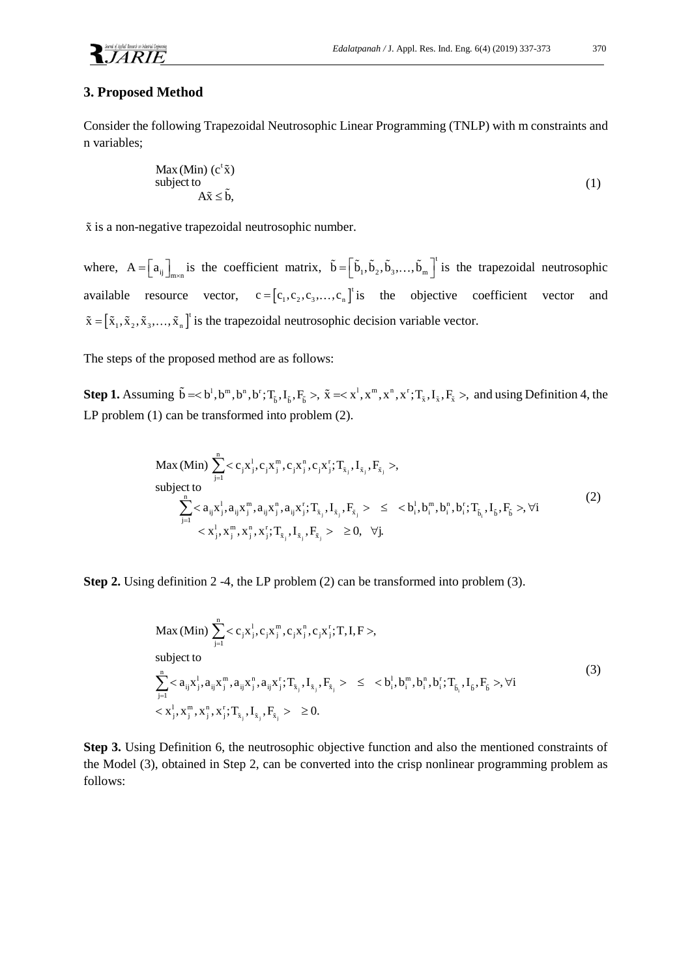

# **3. Proposed Method**

Consider the following Trapezoidal Neutrosophic Linear Programming (TNLP) with m constraints and n variables;

$$
\begin{array}{ll}\n\text{Max (Min)} (c^t \tilde{x}) \\
\text{subject to} \\
\text{A}\tilde{x} \leq \tilde{b},\n\end{array} \tag{1}
$$

x is a non-negative trapezoidal neutrosophic number.

where,  $A = [a_{ij}]_{m \times n}$  is the coefficient matrix,  $\tilde{b} = [\tilde{b}_1, \tilde{b}_2, \tilde{b}_3, \dots, \tilde{b}_m]^t$  is the trapezoidal neutrosophic available resource vector,  $c = [c_1, c_2, c_3, ..., c_n]^T$  is the objective coefficient vector and  $\tilde{x} = [\tilde{x}_1, \tilde{x}_2, \tilde{x}_3, \dots, \tilde{x}_n]^t$  is the trapezoidal neutrosophic decision variable vector.

The steps of the proposed method are as follows:

**Step 1.** Assuming  $\tilde{b} = < b^1, b^m, b^n, b^r; T_{\tilde{b}}, I_{\tilde{b}}, F_{\tilde{b}} >, \tilde{x} = < x^1, x^m, x^n, x^r; T_{\tilde{x}}, I_{\tilde{x}}, F_{\tilde{x}} >,$  and using Definition 4, the LP problem (1) can be transformed into problem (2).

Max (Min) 
$$
\sum_{j=1}^{n} < c_j x_j^1, c_j x_j^m, c_j x_j^r, c_j x_j^r; T_{\tilde{x}_j}, I_{\tilde{x}_j}, F_{\tilde{x}_j} >
$$
,  
\nsubject to  
\n
$$
\sum_{j=1}^{n} < a_{ij} x_j^1, a_{ij} x_j^m, a_{ij} x_j^n, a_{ij} x_j^r; T_{\tilde{x}_j}, I_{\tilde{x}_j}, F_{\tilde{x}_j} > \leq < b_i^1, b_i^m, b_i^n, b_i^r; T_{\tilde{b}_i}, I_{\tilde{b}}, F_{\tilde{b}} >, \forall i
$$
\n(2)  
\n $< x_j^1, x_j^m, x_j^n, x_j^r; T_{\tilde{x}_j}, I_{\tilde{x}_j}, F_{\tilde{x}_j} > \geq 0, \forall j.$ 

**Step 2.** Using definition 2 -4, the LP problem (2) can be transformed into problem (3).

$$
\begin{aligned}\n\text{Max (Min)} \sum_{j=1}^{n} < c_j x_j^1, c_j x_j^m, c_j x_j^r, c_j x_j^r; \text{T}, \text{I}, \text{F} > \\
\text{subject to} \\
\sum_{j=1}^{n} < a_{ij} x_j^1, a_{ij} x_j^m, a_{ij} x_j^r, a_{ij} x_j^r; \text{T}_{\tilde{x}_j}, \text{I}_{\tilde{x}_j}, \text{F}_{\tilde{x}_j} > \le < b_i^1, b_i^m, b_i^n, b_i^r; \text{T}_{\tilde{b}_i}, \text{I}_{\tilde{b}}, \text{F}_{\tilde{b}} > \forall i \\
&< x_j^1, x_j^m, x_j^n, x_j^r; \text{T}_{\tilde{x}_j}, \text{I}_{\tilde{x}_j}, \text{F}_{\tilde{x}_j} > \ge 0.\n\end{aligned} \tag{3}
$$

**Step 3.** Using Definition 6, the neutrosophic objective function and also the mentioned constraints of the Model (3), obtained in Step 2, can be converted into the crisp nonlinear programming problem as follows: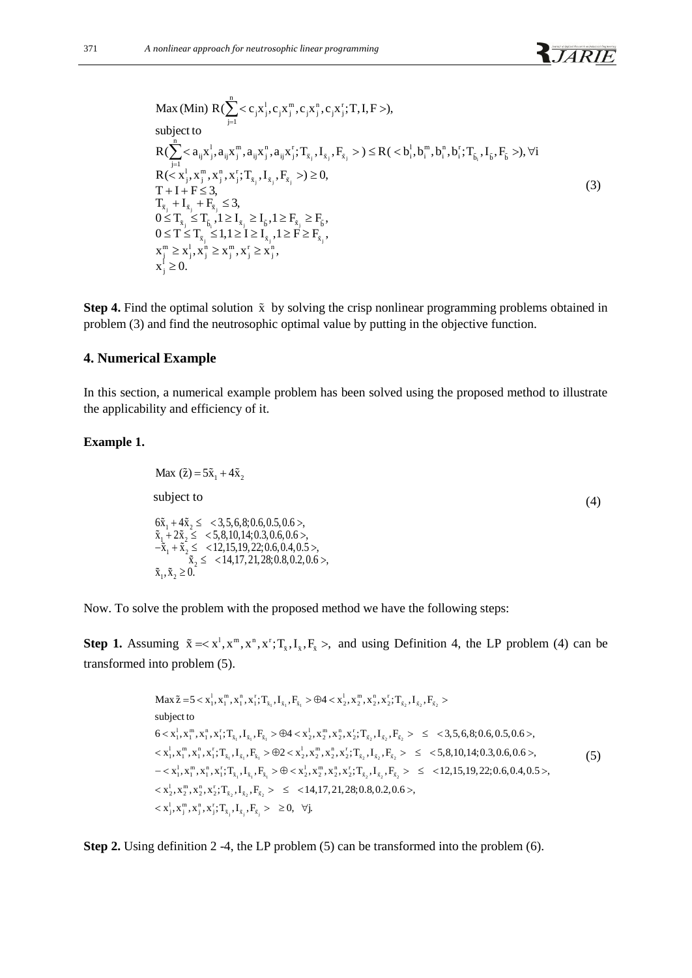n

 $\sum_{j=1}^{n}$  <  $a_{ij}x_j^1, a_{ij}x_j^m, a_{ij}x_j^n, a_{ij}x_j^r; T_{\tilde{x}_j}, I_{\tilde{x}_j}, F_{\tilde{x}_j} >$   $\leq R(**1**_i^1, b_i^m, b_i^r, D_{\tilde{b}_i}, T_{\tilde{b}_j})$  $R(\sum_{j=1}^{n} < a_{ij}x_{j}^{1}, a_{ij}x_{j}^{m}, a_{ij}x_{j}^{n}, a_{ij}x_{j}^{r}; T_{\tilde{x}_{j}}, I_{\tilde{x}_{j}})$ <br>  $R(< x_{j}^{1}, x_{j}^{m}, x_{j}^{n}, x_{j}^{r}; T_{\tilde{x}_{j}}, I_{\tilde{x}_{j}}, F_{\tilde{x}_{j}}>) \geq 0,$  $\bar{x}_j + I + F \leq 3,$ <br>  $\bar{x}_j + I_{\bar{x}_j} + F_{\bar{x}_j}$ Max (Min)  $R(\sum_{j=1}^{n} < c_j x_j^1, c_j x_j^m, c_j x_j^n, c_j x_j^r; T, I, F >),$ Max (MIII)  $K(\sum_{j=1}^{n} < c_j x_j, c_j x_j, c_j x_j, t, t, r > 0,$ <br>
subject to<br>  $R(\sum_{j=1}^{n} < a_{ij} x_j^1, a_{ij} x_j^m, a_{ij} x_j^r, a_{ij} x_j^r, T_{\bar{x}_j}, I_{\bar{x}_j}, F_{\bar{x}_j} >) \le R(< b_i^1, b_i^m, b_i^n, b_i^r, T_{\bar{b}_i}, I_{\bar{b}}, F_{\bar{b}} >), \forall i$ Max (Mir<br>subject to  $R(\sum_{j=1} < a_{ij}x_j^2,$ <br>  $R(< x_j^1, x_j^m, x_j^2)$ <br>  $T + I + F \le 3,$ <br>  $T_x + I_y + F_z$  $R(<br>  $T+I+T$ <br>  $T_{\tilde{x}}$  + I<br>  $0 < T$$  $\sum_{j=1}^{n} < c_j x_j^1, c_j x_j^m, c_j x_j^n, c_j x_j^r; T, I, F >$  $\sum_{j=1}^{n} < a_{ij}x_{j}^{1}, a_{ij}x_{j}^{m}, a_{ij}x_{j}^{n}, a_{ij}x_{j}^{r}; T_{\bar{x}_{j}}, I_{\bar{x}_{j}}, F_{\bar{x}_{j}} > 0$ <br>  $< x_{j}^{1}, x_{j}^{m}, x_{j}^{n}, x_{j}^{r}; T_{\bar{x}_{j}}, I_{\bar{x}_{j}}, F_{\bar{x}_{j}} > 0$  $(\sum_{j=1} \langle a_{ij}x_j^t, a_{ij}x_j^m, a_{ij} \rangle \langle \langle x_j^l, x_j^m, x_j^n, x_j^t, T_{\bar{x}_j} \rangle + I + F \leq 3, \ +I_{+} + F_{+} < 3.$  $\sum$  $j \leq T_{\tilde{b}_i}, 1 \geq I_{\tilde{x}_j} \geq I_{\tilde{b}}, 1 \geq F_{\tilde{x}_j}$  $j_1 \leq 1, 1 \geq I \geq I_{\tilde{X}_j}, 1 \geq \tilde{F} \geq F_{\tilde{X}_j}$  $I_{\bar{x}_j} + F_{\bar{x}_j} \leq 3,$ <br>  $X_{\bar{x}_j} \leq T_{\tilde{b}_j}, 1 \geq I_{\bar{x}_j} \geq I_{\tilde{b}}, 1 \geq F_{\bar{x}_j} \geq F_{\tilde{b}}$ <br>  $X_{\tilde{b}} \leq T_{\tilde{b}_j} \leq 1, 1 \leq I \leq T_{\tilde{b}_j} \leq 1, 1 \leq I \leq T_{\tilde{b}_j}$  $\leq T_{\bar{x}_j} \leq T_{\bar{t}_i}, 1 \geq I_{\bar{x}_j} \geq I_{\bar{t}_j}, 1 \geq F_{\bar{x}_j} \geq F_{\bar{x}_j}$ <br>  $\leq T \leq T_{\bar{x}_j} \leq 1, 1 \geq I \geq I_{\bar{x}_j}, 1 \geq F \geq F_{\bar{x}_j}$ <br>  $\sum_{j=1}^{m} \geq x_j^1, x_j^n \geq x_j^m, x_j^r \geq x_j^n,$ <br>  $\leq 0.$  $x_j^m, x_j^n, x_j^r; T_{\tilde{x}_j}, I_{\tilde{x}_j},$ <br>  $\leq 3,$ <br>  $+ F_{\tilde{x}_j} \leq 3,$ <br>  $+ T_{\tilde{x}_j} \leq 3,$  $R(\langle x_j, x_j, x_j, x_j, x_k, x_k, x_k \rangle) \geq 0,$ <br>  $T + I + F \leq 3,$ <br>  $T_{\bar{x}_j} + I_{\bar{x}_j} + F_{\bar{x}_j} \leq 3,$ <br>  $0 \leq T_{\bar{x}_j} \leq T_{\bar{b}_j}, 1 \geq I_{\bar{x}_j} \geq I_{\bar{b}_j}, 1 \geq F_{\bar{x}_j} \geq F_{\bar{b}_j},$ <br>  $0 \leq T_{\bar{x}_j} \leq T_{\bar{b}_j} \leq 11$ ,  $5 \leq T$ ,  $1 \leq T \leq T$  $T_{\bar{x}_j} + I_{\bar{x}_j} + F_{\bar{x}_j} \leq 3,$ <br>  $0 \leq T_{\bar{x}_j} \leq T_{\bar{b}_i}$ ,  $1 \geq I_{\bar{x}_j} \geq I_{\bar{b}}$ ,  $1 \geq F_{\bar{x}_j} \geq F_{\bar{b}}$ ,<br>  $0 \leq T \leq T_{\bar{x}_j} \leq 1, 1 \geq I \geq I_{\bar{x}_j}$ ,  $1 \geq F \geq F_{\bar{x}_j}$ ,<br>  $\sum_{m} \geq 1, \sum_{m} \geq T_{\bar{x}_j}$  $0 \leq T_{\bar{x}_j} \leq T_{\bar{b}_i}, 1 \geq I_{\bar{x}_j} \geq I_{\bar{b}}, 1$ <br>  $0 \leq T \leq T_{\bar{x}_j} \leq 1, 1 \geq I \geq I_{\bar{x}_j}, 1$ <br>  $x_j^m \geq x_j^1, x_j^n \geq x_j^m, x_j^r \geq x_j^n,$  $0 \le T \le$ <br>  $x_j^m \ge x$ <br>  $x_j^1 \ge 0.$ (< x<sub>j</sub>, x<sub>j</sub>, x<sub>j</sub>, x<sub>j</sub>, x<sub>j</sub>, 1<sub>x<sub>j</sub></sub>, r<sub>x<sub>j</sub></sub> >) 20,<br>+ I + F ≤ 3,<br>  $\epsilon_i$  + I<sub>x</sub><sub>j</sub> + F<sub>x<sub>j</sub></sub> ≤ 3,<br>
≤ T<sub>x<sub>j</sub> ≤ T<sub>6</sub>, 1 ≥ I<sub>x</sub><sub>j</sub> ≥ I<sub>6</sub>, 1 ≥ F<sub>x</sub><sub>j</sub> ≥ F<sub>6</sub>,</sub> +1+ $F \ge 3$ ,<br>  $\le T_{\bar{x}_j} \le T_{\bar{x}_j}$ ,  $1 \ge I_{\bar{x}_j} \ge I_{\bar{b}}, 1 \ge F_{\bar{x}_j} \ge F_{\bar{b}},$ <br>  $\le T \le T_{\bar{x}_j} \le 1, 1 \ge I \ge I_{\bar{x}_j}, 1 \ge F \ge F_{\bar{x}_j},$ <br>  $\le T \le T_{\bar{x}_j} \le 1, 1 \ge I \ge I_{\bar{x}_j}, 1 \ge F \ge F_{\bar{x}_j},$  $: T_{\bar{x}_j} \le T_{\bar{b}_i}^{x_j}$ , 1 ≥  $I_{\bar{x}_j} \ge I_{\bar{b}_j}$ , 1 ≥  $F_{\bar{x}_j} \ge T_{\bar{x}_j}$ <br>  $: T \le T_{\bar{x}_j} \le 1, 1 \ge I \ge I_{\bar{x}_j}$ , 1 ≥ F ≥<br>  $\ge x_j^1, x_j^n \ge x_j^m, x_j^r \ge x_j^n,$ <br>
≥ 0. (3)

**Step 4.** Find the optimal solution  $\tilde{x}$  by solving the crisp nonlinear programming problems obtained in problem (3) and find the neutrosophic optimal value by putting in the objective function.

#### **4. Numerical Example**

In this section, a numerical example problem has been solved using the proposed method to illustrate the applicability and efficiency of it.

#### **Example 1.**

Max  $(\tilde{z}) = 5\tilde{x}_1 + 4\tilde{x}_2$ subject to  $(4)$  $6\tilde{x}_1 + 4\tilde{x}_2 \leq 3,5,6,8;0.6,0.5,0.6$  $6\tilde{x}_1 + 4\tilde{x}_2 \le 3,5,6,8;0.6,0.5,0.6$ ,<br>  $\tilde{x}_1 + 2\tilde{x}_2 \le 5,8,10,14;0.3,0.6,0.6$ ,  $_1 + \tilde{x}_2$ 2  $, \tilde{x}_2 \ge$  $x_1 + 2\tilde{x}_2 \le 5,8,10,14;0.3,0.6,0.6$ ,<br>  $\tilde{x}_1 + \tilde{x}_2 \le 12,15,19,22;0.6,0.4,0.5$ ,  $\leq$  <12,15,19,22;0.6,0.4,0.5 >,<br> $\tilde{x}_2 \leq$  <14,17,21,28;0.8,0.2,0.6 >,  $\tilde{x}_1, \tilde{x}_2 \geq 0.$  $\tilde{x}_1 + 2\tilde{x}_2 \le 5,8,10,14; 0.3, 0.6, 0.6 > -\tilde{x}_1 + \tilde{x}_2 \le 12,15,19,22; 0.6, 0.4, 0.5 >$  $<$ 12,15,19,22;0.6,0.4,0.5 >,<br>  $\le$  < 14,17,21,28;0.8,0.2,0.6 >,

Now. To solve the problem with the proposed method we have the following steps:

**Step 1.** Assuming  $\tilde{x} = \langle x^1, x^m, x^r, x^r; T_{\tilde{x}}, I_{\tilde{x}}, F_{\tilde{x}} \rangle$ , and using Definition 4, the LP problem (4) can be transformed into problem (5).

1 1 1 2 2 2 5  $\times$   $x_1^1, x_1^m, x_1^n, x_1^r; T_{\tilde{x}_1}, I_{\tilde{x}_1}, F_{\tilde{x}_1} > \theta 4 < x_2^1, x_2^m, x_2^n, x_2^r; T_{\tilde{x}_2}, I_{\tilde{x}_2}, F_{\tilde{x}_2}$ set to<br>  $\frac{1}{1}$ ,  $x_1^m$ ,  $x_1^m$ ,  $x_1^r$ ,  $x_1^r$ ,  $x_1^r$ ,  $x_1^r$ ,  $x_1^r$ ,  $x_1^r$ ,  $x_1^r$ ,  $x_1^r$ ,  $x_1^r$ ,  $x_1^r$ ,  $x_1^r$ ,  $x_1^r$ ,  $x_1^r$ ,  $x_1^r$ ,  $x_1^r$ ,  $x_1^r$ ,  $x_1^r$ ,  $x_1^r$ ,  $x_1^r$ ,  $x_1^r$ ,  $x_1$  $6 < x_1^1, x_1^m, x_1^n, x_1^r; T_{\bar{x}_1}, I_{\bar{x}_1}, F_{\bar{x}_1} > \oplus 4 < x_2^1, x_2^m, x_2^1, x_2^r; T_{\bar{x}_2}, I_{\bar{x}_2}, I_{\bar{x}_2},$ <br>  $< x_1^1, x_1^m, x_1^n, x_1^r; T_{\bar{x}_1}, I_{\bar{x}_1}, F_{\bar{x}_1} > \oplus 2 < x_2^1, x_2^m, x_2^n, x_2^r; T_{\bar{x}_2}, I_{\bar{x}_2}, F_{\bar{x}_2}$ Max  $\tilde{z} = 5 < x_1^1, x_1^m, x_1^n, x_1^r; T_{\tilde{x}_1}, I_{\tilde{x}_1}, F_{\tilde{x}_1} > \theta 4 < x_2^1, x_2^m, x_2^n, x_2^r; T_{\tilde{x}_2}, I_{\tilde{x}_2}, F_{\tilde{x}_2} >$ <br>
subject to<br>  $6 < x_1^1, x_1^m, x_1^n, x_1^r; T_{\tilde{x}_1}, I_{\tilde{x}_1}, F_{\tilde{x}_1} > \theta 4 < x_2^1, x_2^m, x_2^n, x_2^$ Max  $\tilde{z} = 5$ <br>subject to bject to<br>  $\langle x_1^1, x_1^m, x_1^n, x_1^r, T_{\tilde{x}_1}, I_{\tilde{x}_1},$ <br>  $x_1^1, x_1^m, x_1^n, x_1^r, T_{\tilde{x}_1}, I_{\tilde{x}_1}, F_{\tilde{x}_1}$ oblem (5).<br>=5 <  $x_1^1, x_1^m, x_1^n, x_1^r; T_{\tilde{x}_1}, I_{\tilde{x}_1}, F_{\tilde{x}_1} > \oplus 4 < x_2^1, x_2^m, x_2^n, x_2^r; T_{\tilde{x}_2}, I_{\tilde{x}_2}, F_{\tilde{x}_2} >$ Iax  $\tilde{z} = 5 < x_1^1, x_1^m, x_1^n, x_1^r, T_{\tilde{x}_1}, I_{\tilde{x}_1}, F_{\tilde{x}_1} > \bigoplus 4 < x_2^1, x_2^m, x_2^n, x_2^r, T_{\tilde{x}_2}, I_{\tilde{x}_2}, F_{\tilde{x}_2} >$ <br>
abject to<br>  $\langle x_1^1, x_1^m, x_1^n, x_1^r, T_{\tilde{x}_1}, I_{\tilde{x}_1}, F_{\tilde{x}_1} > \bigoplus 4 < x_2^1, x_2^m, x_2^n, x_2^r$  $x_1^m, x_1^n, x_1^r; T_{\bar{x}_1}, I_{\bar{x}_1}, F_{\bar{x}_1} > \oplus 2 < x_2^1, x_2^m, x_2^n, x_2^r; T_{\bar{x}_2}, I_{\bar{x}_2}, F_{\bar{x}_2}$ <br>  $x_1^1, x_1^m, x_1^n, x_1^r; T_{\bar{x}_1}, I_{\bar{x}_1}, F_{\bar{x}_1} > \oplus < x_2^1, x_2^m, x_2^n, x_2^r; T_{\bar{x}_2}, I_{\bar{x}_2}, F_{\bar{x}_2}$  $<$   $x_1^1, x_1^m, x_1^n, x_1^r; T_{\bar{x}_1}, I_{\bar{x}_1}, F_{\bar{x}_1} > \oplus 2 < x_2^1, x_2^m, x_2^n, x_2^r; T$ <br>  $- <$   $x_1^1, x_1^m, x_1^n, x_1^r; T_{\bar{x}_1}, I_{\bar{x}_1}, F_{\bar{x}_1} > \oplus < x_2^1, x_2^m, x_2^n, x_2^r; T$ <br>  $<$   $x_2^1, x_2^m, x_2^n, x_2^r; T_{\bar{x}_2}, I_{\bar{x}_2}, F_{\bar{x}_$  $x_2^1, x_2^m, x_2^n, \ldots$ <br>  $x_2^1, x_2^m, x_2^n, x_2^n$ ct to<br>  $\begin{aligned}\n & \text{let } \mathbf{r} \text{ is the } \mathbf{r} \text{ is the } \mathbf{r} \text{ is the } \mathbf{r} \text{ is the } \mathbf{r} \text{ is the } \mathbf{r} \text{ is the } \mathbf{r} \text{ is the } \mathbf{r} \text{ is the } \mathbf{r} \text{ is the } \mathbf{r} \text{ is the } \mathbf{r} \text{ is the } \mathbf{r} \text{ is the } \mathbf{r} \text{ is the } \mathbf{r} \text{ is the } \mathbf{r} \text{ is the } \mathbf{r} \text{ is the } \mathbf{r} \text{$ 6 < x<sup>1</sup><sub>1</sub>, x<sup>n</sup><sub>1</sub>, x<sup>n</sup><sub>1</sub>, x<sub>1</sub><sup>5</sup><sub>1</sub>, I<sub>x<sub>1</sub></sub>, I<sub>x<sub>1</sub></sub>, I<sub>x<sub>1</sub></sub>,  $\geq$  ⊕4 < x<sup>1</sup><sub>2</sub>, x<sup>n</sup><sub>2</sub>, x<sup>n</sup><sub>2</sub>, x<sup>n</sup><sub>2</sub>, x<sub>1</sub><sup>5</sup>, X<sub>i</sub><sub>2</sub>, I<sub>x<sub>2</sub></sub>, I<sub>x<sub>2</sub></sub>, I<sub>x<sub>2</sub></sub>, E<sub>x<sub>2</sub></sub> > ≤ < 3,5,6,8;0,6,0,5,0,6 >,<br>
< x<sup>1</sup><sub>1</sub>, x<sup>n</sup><sub>1</sub>,  $_2^1, x_2^m, x_2^n, x_2^r; T_{\tilde{x}_2}, I_{\tilde{x}_2}, F_{\tilde{x}_2}$ <br> $_1^1, x_3^m, x_1^n, x_j^r; T_{\tilde{x}_j}, I_{\tilde{x}_j}, F_{\tilde{x}_j}$  $\frac{1}{2}$ ,  $X_2^m$ ,  $X_2^n$ ,  $X_3^n$ <br> $\frac{1}{2}$ ,  $X_1^m$ ,  $X_1^n$ ,  $X_1^r$  ${}_{5}T_{\tilde{x}_2}, I_{\tilde{x}_2}, F_{\tilde{x}_2} >$ <br> ${}_{5}T_{\tilde{x}_2}, I_{\tilde{x}_2}, F_{\tilde{x}_2} >$ <br>8;0.8,0.2,0.6 >,  $<$   $x_1^1, x_1^m, x_1^n, x_1^r; T_{\tilde{x}_1}, I_{\tilde{x}_1}, F_{\tilde{x}_1} > \oplus < x_2^1,$ <br>  $x_2^1, x_2^m, x_2^n, x_2^r; T_{\tilde{x}_2}, I_{\tilde{x}_2}, F_{\tilde{x}_2} > \leq < 14$ <br>  $x_1^1, x_1^m, x_1^n, x_1^r; T_{\tilde{x}_1}, I_{\tilde{x}_1}, F_{\tilde{x}_1} > \geq 0, \forall j.$  $\frac{1}{2}$ - < x<sub>1</sub>, x<sub>n</sub><sup>n</sup>, x<sub>n</sub><sup>n</sup>, x<sub>1</sub><sup>r</sup>, Y<sub>i</sub><sub>x<sub>1</sub></sub>, I<sub>x<sub>1</sub></sub>, I<sub>x<sub>1</sub></sub>, D ≤ x<sub>2</sub><sup>1</sup>, x<sub>n</sub><sup>n</sup>, x<sub>n</sub><sup>n</sup>, x<sub>i</sub><sup>2</sup>, T<br>
< x<sub>2</sub><sup>1</sup>, x<sub>n</sub><sup>n</sup>, x<sub>n</sub><sup>n</sup>, x<sub>i</sub><sup>2</sup>, Y<sub>i</sub><sub>x</sub><sup>2</sup>, I<sub>x<sub>2</sub></sub>, I<sub>x<sub>2</sub></sub>, I<sub>x<sub>2</sub></sub>, D ≤ < 14,17, 21, 28; (<br>
< x<sub>1</sub><sup>1</sup> (5)

**Step 2.** Using definition 2 -4, the LP problem (5) can be transformed into the problem (6).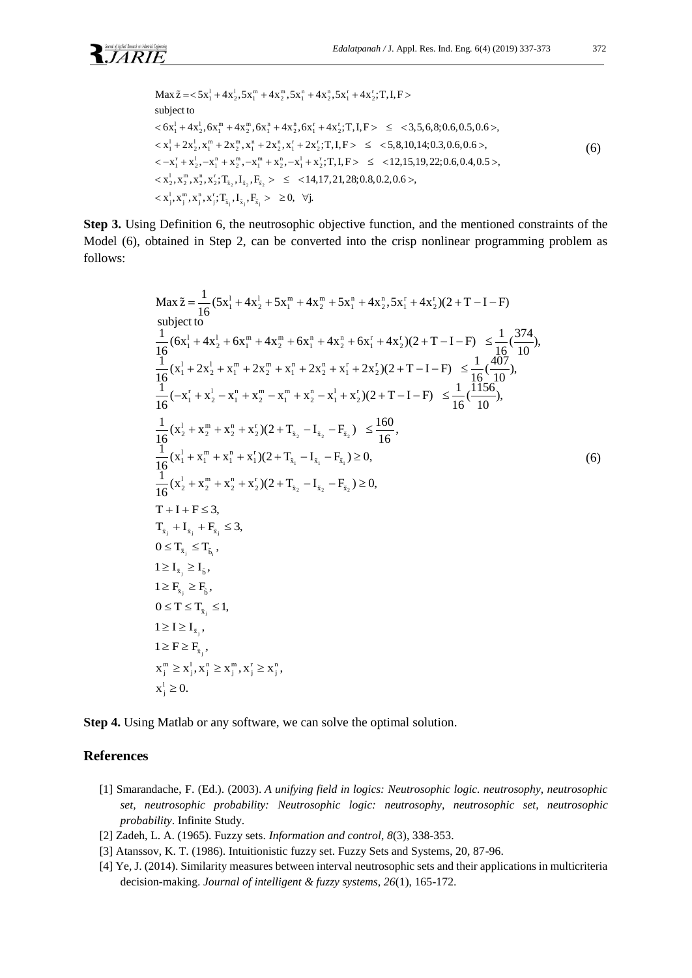$$
E
$$
\nMax  $\tilde{z} = \langle 5x_1^1 + 4x_2^1, 5x_1^m + 4x_2^m, 5x_1^n + 4x_2^1, 5x_1^r + 4x_2^r; T, I, F \rangle$   
\nsubject to  
\n
$$
\langle 6x_1^1 + 4x_2^1, 6x_1^m + 4x_2^m, 6x_1^n + 4x_2^n, 6x_1^r + 4x_2^r; T, I, F \rangle \leq \langle 3, 5, 6, 8; 0.6, 0.5, 0.6 \rangle,
$$
  
\n
$$
\langle x_1^1 + 2x_2^1, x_1^m + 2x_2^m, x_1^n + 2x_2^n, x_1^r + 2x_2^r; T, I, F \rangle \leq \langle 5, 8, 10, 14; 0.3, 0.6, 0.6 \rangle,
$$
  
\n
$$
\langle -x_1^r + x_2^1, -x_1^n + x_2^m, -x_1^m + x_2^n, -x_1^1 + x_2^r; T, I, F \rangle \leq \langle 12, 15, 19, 22; 0.6, 0.4, 0.5 \rangle,
$$
  
\n
$$
\langle x_2^1, x_2^m, x_2^n, x_2^r; T_{\bar{x}_2}, I_{\bar{x}_2}, F_{\bar{x}_2} \rangle \leq \langle 14, 17, 21, 28; 0.8, 0.2, 0.6 \rangle,
$$
  
\n
$$
\langle x_1^1, x_1^m, x_1^n, x_1^r; T_{\bar{x}_1}, I_{\bar{x}_1}, F_{\bar{x}_2} \rangle \geq 0, \forall j.
$$
  
\n(6)

**Step 3.** Using Definition 6, the neutrosophic objective function, and the mentioned constraints of the Model (6), obtained in Step 2, can be converted into the crisp nonlinear programming problem as follows:

$$
Max \tilde{z} = \frac{1}{16} (5x_1^1 + 4x_2^1 + 5x_1^m + 4x_2^m + 5x_1^2 + 4x_2^1, 5x_1^r + 4x_2^r)(2 + T - I - F)
$$
\nsubject to\n
$$
\frac{1}{16} (6x_1^1 + 4x_2^1 + 6x_1^m + 4x_2^m + 6x_1^n + 4x_2^r + 6x_1^r + 4x_2^r)(2 + T - I - F) \leq \frac{1}{16} (\frac{374}{10}),
$$
\n
$$
\frac{1}{16} (x_1^1 + 2x_2^1 + x_1^m + 2x_2^m + x_1^n + 2x_2^n + x_1^r + 2x_2^r)(2 + T - I - F) \leq \frac{1}{16} (\frac{407}{10}),
$$
\n
$$
\frac{1}{16} (-x_1^r + x_2^1 - x_1^n + x_2^m - x_1^m + x_2^n - x_1^1 + x_2^r)(2 + T - I - F) \leq \frac{1}{16} (\frac{1156}{10}),
$$
\n
$$
\frac{1}{16} (x_2^1 + x_2^m + x_2^n + x_2^r)(2 + T_{\bar{x}_2} - I_{\bar{x}_2} - F_{\bar{x}_2}) \leq \frac{160}{16},
$$
\n
$$
\frac{1}{16} (x_1^1 + x_1^m + x_1^n + x_1^r)(2 + T_{\bar{x}_1} - I_{\bar{x}_1} - F_{\bar{x}_1}) \geq 0,
$$
\n
$$
T + I + F \leq 3,
$$
\n
$$
T_{\bar{x}_1} + I_{\bar{x}_2} + T_{\bar{x}_2} + T_{\bar{x}_2} + T_{\bar{x}_2} - T_{\bar{x}_2} - T_{\bar{x}_2} - T_{\bar{x}_2}) \geq 0,
$$
\n
$$
T_{\bar{x}_1} + I_{\bar{x}_2} + T_{\bar{x}_2} + T_{\bar{x}_2} + T_{\bar{x}_2} - T_{\bar{x}_2} - T_{\bar{x}_2} - T_{\bar{x}_2}) \geq 0,
$$
\n

**Step 4.** Using Matlab or any software, we can solve the optimal solution.

### **References**

- [1] Smarandache, F. (Ed.). (2003). *A unifying field in logics: Neutrosophic logic. neutrosophy, neutrosophic set, neutrosophic probability: Neutrosophic logic: neutrosophy, neutrosophic set, neutrosophic probability*. Infinite Study.
- [2] Zadeh, L. A. (1965). Fuzzy sets. *Information and control*, *8*(3), 338-353.
- [3] Atanssov, K. T. (1986). Intuitionistic fuzzy set. Fuzzy Sets and Systems, 20, 87-96.
- [4] Ye, J. (2014). Similarity measures between interval neutrosophic sets and their applications in multicriteria decision-making. *Journal of intelligent & fuzzy systems*, *26*(1), 165-172.